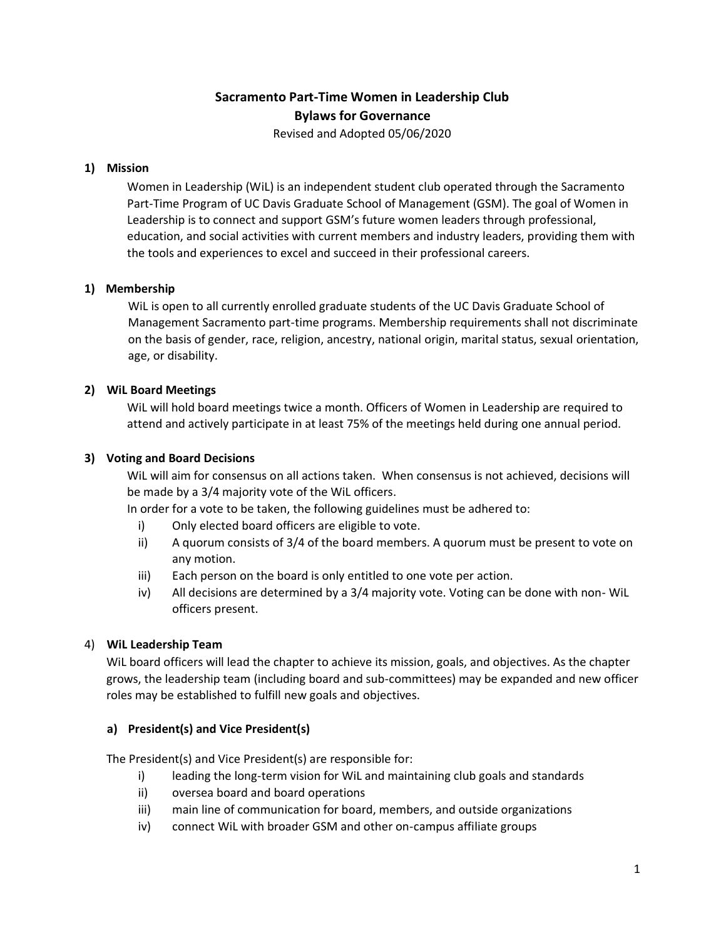# **Sacramento Part-Time Women in Leadership Club Bylaws for Governance**

Revised and Adopted 05/06/2020

#### **1) Mission**

Women in Leadership (WiL) is an independent student club operated through the Sacramento Part-Time Program of UC Davis Graduate School of Management (GSM). The goal of Women in Leadership is to connect and support GSM's future women leaders through professional, education, and social activities with current members and industry leaders, providing them with the tools and experiences to excel and succeed in their professional careers.

## **1) Membership**

WiL is open to all currently enrolled graduate students of the UC Davis Graduate School of Management Sacramento part-time programs. Membership requirements shall not discriminate on the basis of gender, race, religion, ancestry, national origin, marital status, sexual orientation, age, or disability.

## **2) WiL Board Meetings**

WiL will hold board meetings twice a month. Officers of Women in Leadership are required to attend and actively participate in at least 75% of the meetings held during one annual period.

#### **3) Voting and Board Decisions**

WiL will aim for consensus on all actions taken. When consensus is not achieved, decisions will be made by a 3/4 majority vote of the WiL officers.

In order for a vote to be taken, the following guidelines must be adhered to:

- i) Only elected board officers are eligible to vote.
- ii) A quorum consists of 3/4 of the board members. A quorum must be present to vote on any motion.
- iii) Each person on the board is only entitled to one vote per action.
- iv) All decisions are determined by a 3/4 majority vote. Voting can be done with non- WiL officers present.

# 4) **WiL Leadership Team**

WiL board officers will lead the chapter to achieve its mission, goals, and objectives. As the chapter grows, the leadership team (including board and sub-committees) may be expanded and new officer roles may be established to fulfill new goals and objectives.

#### **a) President(s) and Vice President(s)**

The President(s) and Vice President(s) are responsible for:

- i) leading the long-term vision for WiL and maintaining club goals and standards
- ii) oversea board and board operations
- iii) main line of communication for board, members, and outside organizations
- iv) connect WiL with broader GSM and other on-campus affiliate groups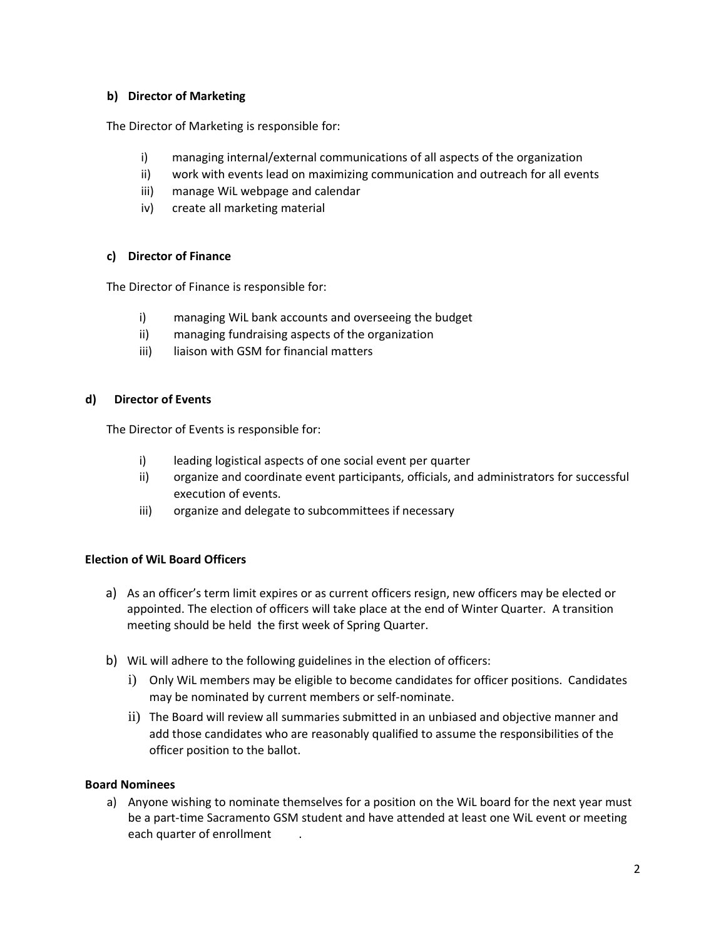#### **b) Director of Marketing**

The Director of Marketing is responsible for:

- i) managing internal/external communications of all aspects of the organization
- ii) work with events lead on maximizing communication and outreach for all events
- iii) manage WiL webpage and calendar
- iv) create all marketing material

## **c) Director of Finance**

The Director of Finance is responsible for:

- i) managing WiL bank accounts and overseeing the budget
- ii) managing fundraising aspects of the organization
- iii) liaison with GSM for financial matters

#### **d) Director of Events**

The Director of Events is responsible for:

- i) leading logistical aspects of one social event per quarter
- ii) organize and coordinate event participants, officials, and administrators for successful execution of events.
- iii) organize and delegate to subcommittees if necessary

# **Election of WiL Board Officers**

- a) As an officer's term limit expires or as current officers resign, new officers may be elected or appointed. The election of officers will take place at the end of Winter Quarter. A transition meeting should be held the first week of Spring Quarter.
- b) WiL will adhere to the following guidelines in the election of officers:
	- i) Only WiL members may be eligible to become candidates for officer positions. Candidates may be nominated by current members or self-nominate.
	- ii) The Board will review all summaries submitted in an unbiased and objective manner and add those candidates who are reasonably qualified to assume the responsibilities of the officer position to the ballot.

#### **Board Nominees**

a) Anyone wishing to nominate themselves for a position on the WiL board for the next year must be a part-time Sacramento GSM student and have attended at least one WiL event or meeting each quarter of enrollment